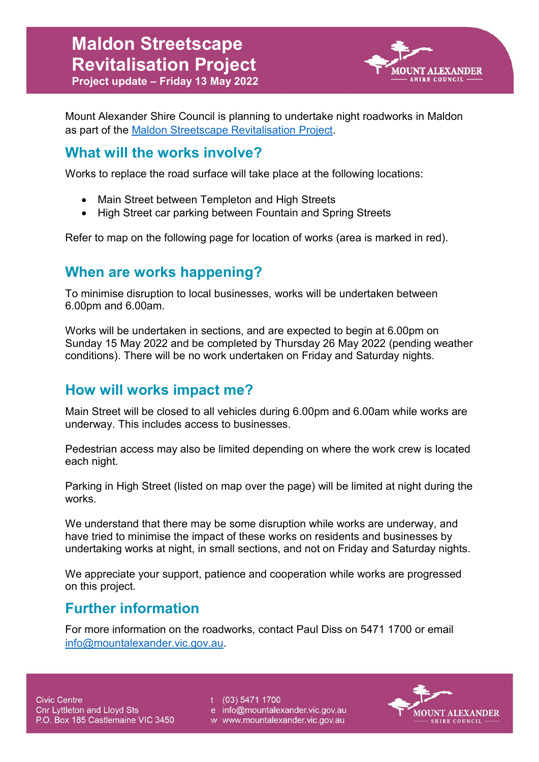

Mount Alexander Shire Council is planning to undertake night roadworks in Maldon as part of the [Maldon Streetscape Revitalisation Project.](http://www.mountalexander.vic.gov.au/MaldonStreetscapeProject)

#### **What will the works involve?**

Works to replace the road surface will take place at the following locations:

- Main Street between Templeton and High Streets
- High Street car parking between Fountain and Spring Streets

Refer to map on the following page for location of works (area is marked in red).

#### **When are works happening?**

To minimise disruption to local businesses, works will be undertaken between 6.00pm and 6.00am.

Works will be undertaken in sections, and are expected to begin at 6.00pm on Sunday 15 May 2022 and be completed by Thursday 26 May 2022 (pending weather conditions). There will be no work undertaken on Friday and Saturday nights.

## **How will works impact me?**

Main Street will be closed to all vehicles during 6.00pm and 6.00am while works are underway. This includes access to businesses.

Pedestrian access may also be limited depending on where the work crew is located each night.

Parking in High Street (listed on map over the page) will be limited at night during the works.

We understand that there may be some disruption while works are underway, and have tried to minimise the impact of these works on residents and businesses by undertaking works at night, in small sections, and not on Friday and Saturday nights.

We appreciate your support, patience and cooperation while works are progressed on this project.

## **Further information**

For more information on the roadworks, contact Paul Diss on 5471 1700 or email [info@mountalexander.vic.gov.au.](mailto:info@mountalexander.vic.gov.au)

t (03) 5471 1700

e info@mountalexander.vic.gov.au

w www.mountalexander.vic.gov.au